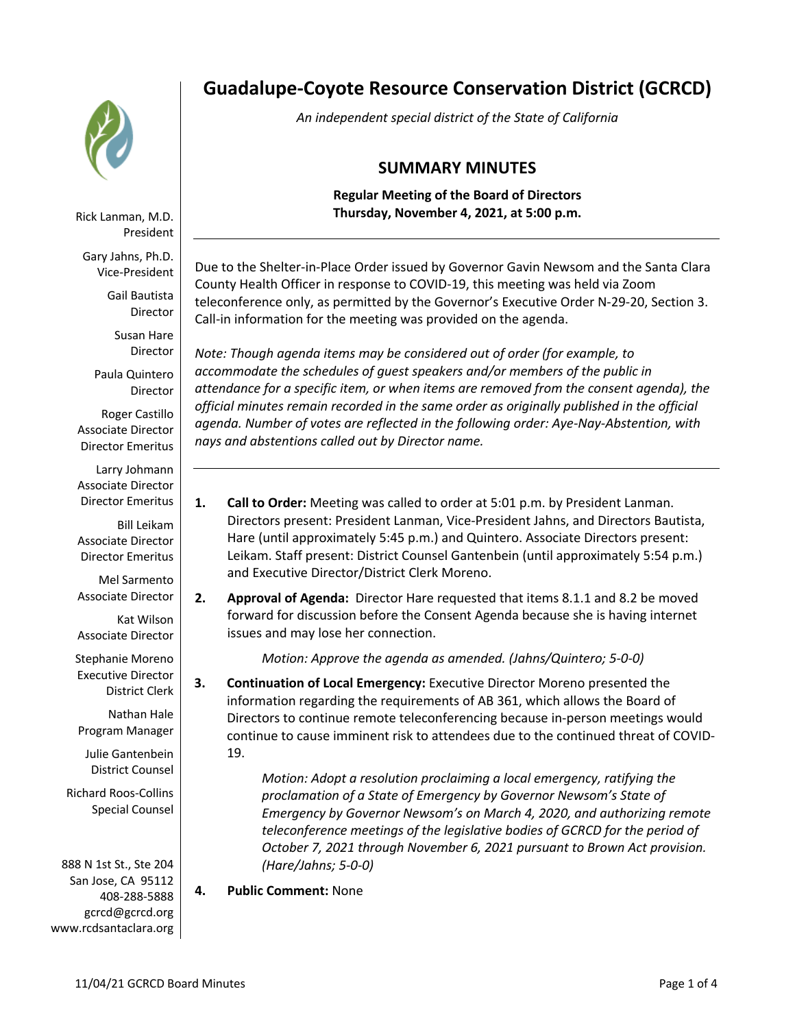

Rick Lanman, M.D. President

Gary Jahns, Ph.D. Vice-President

> Gail Bautista Director

Susan Hare Director

Paula Quintero Director

Roger Castillo Associate Director Director Emeritus

Larry Johmann Associate Director Director Emeritus

Bill Leikam Associate Director Director Emeritus

Mel Sarmento Associate Director

Kat Wilson Associate Director

Stephanie Moreno Executive Director District Clerk

Nathan Hale Program Manager

Julie Gantenbein District Counsel

Richard Roos-Collins Special Counsel

888 N 1st St., Ste 204 San Jose, CA 95112 408-288-5888 gcrcd@gcrcd.org www.rcdsantaclara.org

# **Guadalupe-Coyote Resource Conservation District (GCRCD)**

*An independent special district of the State of California*

# **SUMMARY MINUTES**

**Regular Meeting of the Board of Directors Thursday, November 4, 2021, at 5:00 p.m.**

Due to the Shelter-in-Place Order issued by Governor Gavin Newsom and the Santa Clara County Health Officer in response to COVID-19, this meeting was held via Zoom teleconference only, as permitted by the Governor's Executive Order N-29-20, Section 3. Call-in information for the meeting was provided on the agenda.

*Note: Though agenda items may be considered out of order (for example, to accommodate the schedules of guest speakers and/or members of the public in attendance for a specific item, or when items are removed from the consent agenda), the official minutes remain recorded in the same order as originally published in the official agenda. Number of votes are reflected in the following order: Aye-Nay-Abstention, with nays and abstentions called out by Director name.*

- **1. Call to Order:** Meeting was called to order at 5:01 p.m. by President Lanman. Directors present: President Lanman, Vice-President Jahns, and Directors Bautista, Hare (until approximately 5:45 p.m.) and Quintero. Associate Directors present: Leikam. Staff present: District Counsel Gantenbein (until approximately 5:54 p.m.) and Executive Director/District Clerk Moreno.
- **2. Approval of Agenda:** Director Hare requested that items 8.1.1 and 8.2 be moved forward for discussion before the Consent Agenda because she is having internet issues and may lose her connection.

*Motion: Approve the agenda as amended. (Jahns/Quintero; 5-0-0)*

**3. Continuation of Local Emergency:** Executive Director Moreno presented the information regarding the requirements of AB 361, which allows the Board of Directors to continue remote teleconferencing because in-person meetings would continue to cause imminent risk to attendees due to the continued threat of COVID-19.

> *Motion: Adopt a resolution proclaiming a local emergency, ratifying the proclamation of a State of Emergency by Governor Newsom's State of Emergency by Governor Newsom's on March 4, 2020, and authorizing remote teleconference meetings of the legislative bodies of GCRCD for the period of October 7, 2021 through November 6, 2021 pursuant to Brown Act provision. (Hare/Jahns; 5-0-0)*

## **4. Public Comment:** None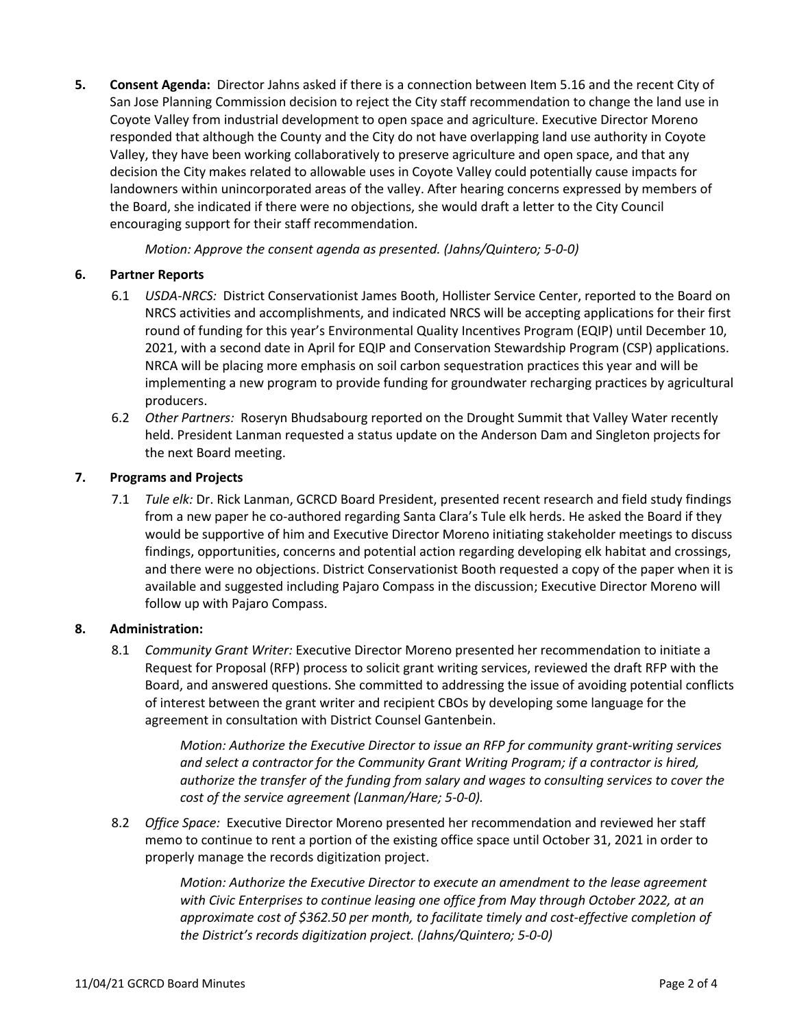**5. Consent Agenda:** Director Jahns asked if there is a connection between Item 5.16 and the recent City of San Jose Planning Commission decision to reject the City staff recommendation to change the land use in Coyote Valley from industrial development to open space and agriculture. Executive Director Moreno responded that although the County and the City do not have overlapping land use authority in Coyote Valley, they have been working collaboratively to preserve agriculture and open space, and that any decision the City makes related to allowable uses in Coyote Valley could potentially cause impacts for landowners within unincorporated areas of the valley. After hearing concerns expressed by members of the Board, she indicated if there were no objections, she would draft a letter to the City Council encouraging support for their staff recommendation.

*Motion: Approve the consent agenda as presented. (Jahns/Quintero; 5-0-0)* 

### **6. Partner Reports**

- 6.1 *USDA-NRCS:* District Conservationist James Booth, Hollister Service Center, reported to the Board on NRCS activities and accomplishments, and indicated NRCS will be accepting applications for their first round of funding for this year's Environmental Quality Incentives Program (EQIP) until December 10, 2021, with a second date in April for EQIP and Conservation Stewardship Program (CSP) applications. NRCA will be placing more emphasis on soil carbon sequestration practices this year and will be implementing a new program to provide funding for groundwater recharging practices by agricultural producers.
- 6.2 *Other Partners:* Roseryn Bhudsabourg reported on the Drought Summit that Valley Water recently held. President Lanman requested a status update on the Anderson Dam and Singleton projects for the next Board meeting.

#### **7. Programs and Projects**

7.1 *Tule elk:* Dr. Rick Lanman, GCRCD Board President, presented recent research and field study findings from a new paper he co-authored regarding Santa Clara's Tule elk herds. He asked the Board if they would be supportive of him and Executive Director Moreno initiating stakeholder meetings to discuss findings, opportunities, concerns and potential action regarding developing elk habitat and crossings, and there were no objections. District Conservationist Booth requested a copy of the paper when it is available and suggested including Pajaro Compass in the discussion; Executive Director Moreno will follow up with Pajaro Compass.

### **8. Administration:**

8.1 *Community Grant Writer:* Executive Director Moreno presented her recommendation to initiate a Request for Proposal (RFP) process to solicit grant writing services, reviewed the draft RFP with the Board, and answered questions. She committed to addressing the issue of avoiding potential conflicts of interest between the grant writer and recipient CBOs by developing some language for the agreement in consultation with District Counsel Gantenbein.

> *Motion: Authorize the Executive Director to issue an RFP for community grant-writing services and select a contractor for the Community Grant Writing Program; if a contractor is hired, authorize the transfer of the funding from salary and wages to consulting services to cover the cost of the service agreement (Lanman/Hare; 5-0-0).*

8.2 *Office Space:* Executive Director Moreno presented her recommendation and reviewed her staff memo to continue to rent a portion of the existing office space until October 31, 2021 in order to properly manage the records digitization project.

> *Motion: Authorize the Executive Director to execute an amendment to the lease agreement with Civic Enterprises to continue leasing one office from May through October 2022, at an approximate cost of \$362.50 per month, to facilitate timely and cost-effective completion of the District's records digitization project. (Jahns/Quintero; 5-0-0)*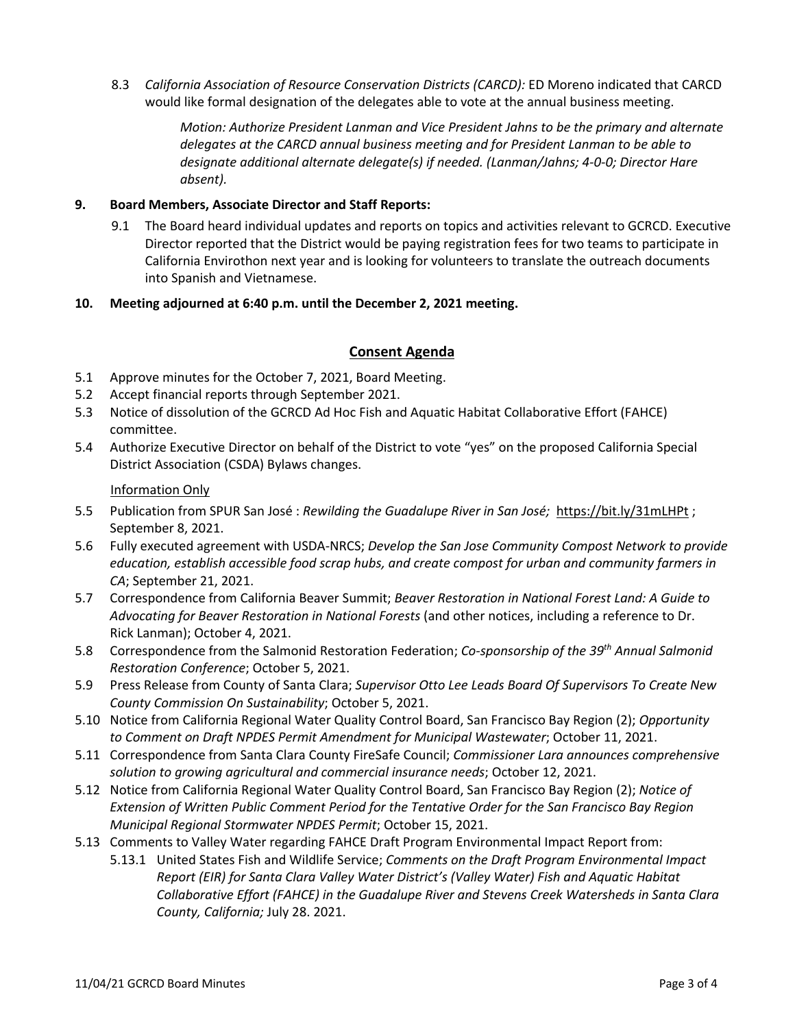8.3 *California Association of Resource Conservation Districts (CARCD):* ED Moreno indicated that CARCD would like formal designation of the delegates able to vote at the annual business meeting.

> *Motion: Authorize President Lanman and Vice President Jahns to be the primary and alternate delegates at the CARCD annual business meeting and for President Lanman to be able to designate additional alternate delegate(s) if needed. (Lanman/Jahns; 4-0-0; Director Hare absent).*

#### **9. Board Members, Associate Director and Staff Reports:**

9.1 The Board heard individual updates and reports on topics and activities relevant to GCRCD. Executive Director reported that the District would be paying registration fees for two teams to participate in California Envirothon next year and is looking for volunteers to translate the outreach documents into Spanish and Vietnamese.

#### **10. Meeting adjourned at 6:40 p.m. until the December 2, 2021 meeting.**

#### **Consent Agenda**

- 5.1 Approve minutes for the October 7, 2021, Board Meeting.
- 5.2 Accept financial reports through September 2021.
- 5.3 Notice of dissolution of the GCRCD Ad Hoc Fish and Aquatic Habitat Collaborative Effort (FAHCE) committee.
- 5.4 Authorize Executive Director on behalf of the District to vote "yes" on the proposed California Special District Association (CSDA) Bylaws changes.

#### Information Only

- 5.5 Publication from SPUR San José : *Rewilding the Guadalupe River in San José;* https://bit.ly/31mLHPt ; September 8, 2021.
- 5.6 Fully executed agreement with USDA-NRCS; *Develop the San Jose Community Compost Network to provide education, establish accessible food scrap hubs, and create compost for urban and community farmers in CA*; September 21, 2021.
- 5.7 Correspondence from California Beaver Summit; *Beaver Restoration in National Forest Land: A Guide to Advocating for Beaver Restoration in National Forests* (and other notices, including a reference to Dr. Rick Lanman); October 4, 2021.
- 5.8 Correspondence from the Salmonid Restoration Federation; *Co-sponsorship of the 39th Annual Salmonid Restoration Conference*; October 5, 2021.
- 5.9 Press Release from County of Santa Clara; *Supervisor Otto Lee Leads Board Of Supervisors To Create New County Commission On Sustainability*; October 5, 2021.
- 5.10 Notice from California Regional Water Quality Control Board, San Francisco Bay Region (2); *Opportunity to Comment on Draft NPDES Permit Amendment for Municipal Wastewater*; October 11, 2021.
- 5.11 Correspondence from Santa Clara County FireSafe Council; *Commissioner Lara announces comprehensive solution to growing agricultural and commercial insurance needs*; October 12, 2021.
- 5.12 Notice from California Regional Water Quality Control Board, San Francisco Bay Region (2); *Notice of Extension of Written Public Comment Period for the Tentative Order for the San Francisco Bay Region Municipal Regional Stormwater NPDES Permit*; October 15, 2021.
- 5.13 Comments to Valley Water regarding FAHCE Draft Program Environmental Impact Report from:
	- 5.13.1 United States Fish and Wildlife Service; *Comments on the Draft Program Environmental Impact Report (EIR) for Santa Clara Valley Water District's (Valley Water) Fish and Aquatic Habitat Collaborative Effort (FAHCE) in the Guadalupe River and Stevens Creek Watersheds in Santa Clara County, California;* July 28. 2021.